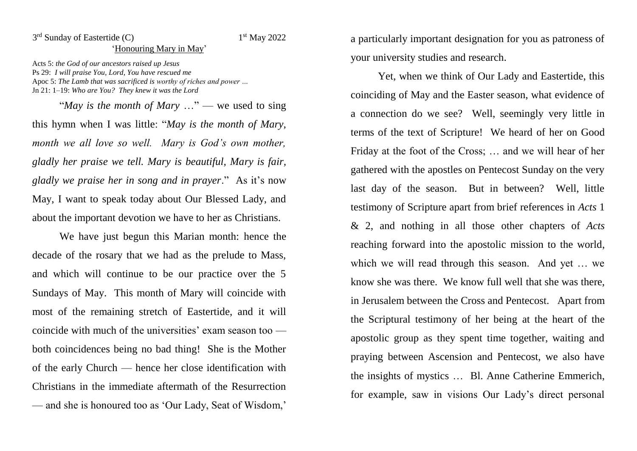## 3<sup>rd</sup> Sunday of Eastertide (C) 1

## 1st May 2022

## 'Honouring Mary in May'

Acts 5: *the God of our ancestors raised up Jesus* Ps 29: *I will praise You, Lord, You have rescued me* Apoc 5: *The Lamb that was sacrificed is worthy of riches and power …* Jn 21: 1–19: *Who are You? They knew it was the Lord*

"*May is the month of Mary* …" — we used to sing this hymn when I was little: "*May is the month of Mary, month we all love so well. Mary is God's own mother, gladly her praise we tell. Mary is beautiful, Mary is fair, gladly we praise her in song and in prayer*." As it's now May, I want to speak today about Our Blessed Lady, and about the important devotion we have to her as Christians.

We have just begun this Marian month: hence the decade of the rosary that we had as the prelude to Mass, and which will continue to be our practice over the 5 Sundays of May. This month of Mary will coincide with most of the remaining stretch of Eastertide, and it will coincide with much of the universities' exam season too both coincidences being no bad thing! She is the Mother of the early Church — hence her close identification with Christians in the immediate aftermath of the Resurrection — and she is honoured too as 'Our Lady, Seat of Wisdom,'

a particularly important designation for you as patroness of your university studies and research.

Yet, when we think of Our Lady and Eastertide, this coinciding of May and the Easter season, what evidence of a connection do we see? Well, seemingly very little in terms of the text of Scripture! We heard of her on Good Friday at the foot of the Cross; … and we will hear of her gathered with the apostles on Pentecost Sunday on the very last day of the season. But in between? Well, little testimony of Scripture apart from brief references in *Acts* 1 & 2, and nothing in all those other chapters of *Acts* reaching forward into the apostolic mission to the world, which we will read through this season. And yet … we know she was there. We know full well that she was there, in Jerusalem between the Cross and Pentecost. Apart from the Scriptural testimony of her being at the heart of the apostolic group as they spent time together, waiting and praying between Ascension and Pentecost, we also have the insights of mystics … Bl. Anne Catherine Emmerich, for example, saw in visions Our Lady's direct personal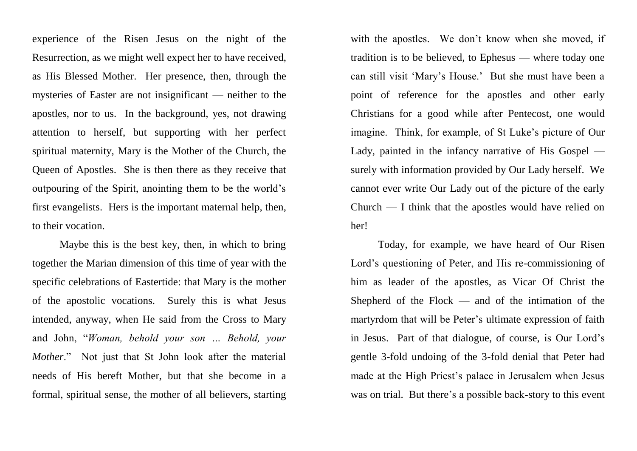experience of the Risen Jesus on the night of the Resurrection, as we might well expect her to have received, as His Blessed Mother. Her presence, then, through the mysteries of Easter are not insignificant — neither to the apostles, nor to us. In the background, yes, not drawing attention to herself, but supporting with her perfect spiritual maternity, Mary is the Mother of the Church, the Queen of Apostles. She is then there as they receive that outpouring of the Spirit, anointing them to be the world's first evangelists. Hers is the important maternal help, then, to their vocation.

Maybe this is the best key, then, in which to bring together the Marian dimension of this time of year with the specific celebrations of Eastertide: that Mary is the mother of the apostolic vocations. Surely this is what Jesus intended, anyway, when He said from the Cross to Mary and John, "*Woman, behold your son … Behold, your Mother*." Not just that St John look after the material needs of His bereft Mother, but that she become in a formal, spiritual sense, the mother of all believers, starting

with the apostles. We don't know when she moved, if tradition is to be believed, to Ephesus — where today one can still visit 'Mary's House.' But she must have been a point of reference for the apostles and other early Christians for a good while after Pentecost, one would imagine. Think, for example, of St Luke's picture of Our Lady, painted in the infancy narrative of His Gospel surely with information provided by Our Lady herself. We cannot ever write Our Lady out of the picture of the early Church — I think that the apostles would have relied on her!

Today, for example, we have heard of Our Risen Lord's questioning of Peter, and His re-commissioning of him as leader of the apostles, as Vicar Of Christ the Shepherd of the  $Flock$  — and of the intimation of the martyrdom that will be Peter's ultimate expression of faith in Jesus. Part of that dialogue, of course, is Our Lord's gentle 3-fold undoing of the 3-fold denial that Peter had made at the High Priest's palace in Jerusalem when Jesus was on trial. But there's a possible back-story to this event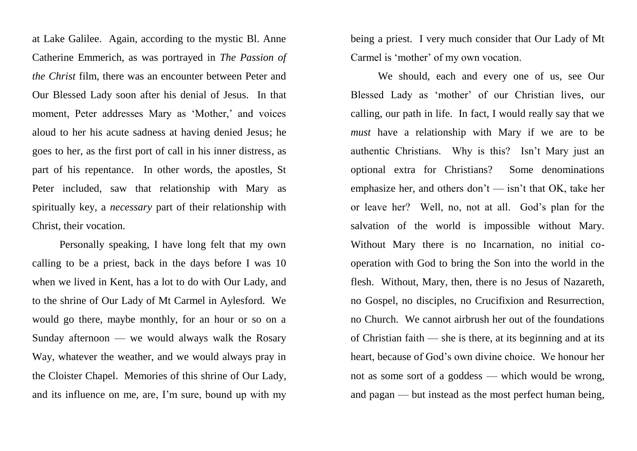at Lake Galilee. Again, according to the mystic Bl. Anne Catherine Emmerich, as was portrayed in *The Passion of the Christ* film, there was an encounter between Peter and Our Blessed Lady soon after his denial of Jesus. In that moment, Peter addresses Mary as 'Mother,' and voices aloud to her his acute sadness at having denied Jesus; he goes to her, as the first port of call in his inner distress, as part of his repentance. In other words, the apostles, St Peter included, saw that relationship with Mary as spiritually key, a *necessary* part of their relationship with Christ, their vocation.

Personally speaking, I have long felt that my own calling to be a priest, back in the days before I was 10 when we lived in Kent, has a lot to do with Our Lady, and to the shrine of Our Lady of Mt Carmel in Aylesford. We would go there, maybe monthly, for an hour or so on a Sunday afternoon — we would always walk the Rosary Way, whatever the weather, and we would always pray in the Cloister Chapel. Memories of this shrine of Our Lady, and its influence on me, are, I'm sure, bound up with my being a priest. I very much consider that Our Lady of Mt Carmel is 'mother' of my own vocation.

We should, each and every one of us, see Our Blessed Lady as 'mother' of our Christian lives, our calling, our path in life. In fact, I would really say that we *must* have a relationship with Mary if we are to be authentic Christians. Why is this? Isn't Mary just an optional extra for Christians? Some denominations emphasize her, and others don't — isn't that OK, take her or leave her? Well, no, not at all. God's plan for the salvation of the world is impossible without Mary. Without Mary there is no Incarnation, no initial cooperation with God to bring the Son into the world in the flesh. Without, Mary, then, there is no Jesus of Nazareth, no Gospel, no disciples, no Crucifixion and Resurrection, no Church. We cannot airbrush her out of the foundations of Christian faith — she is there, at its beginning and at its heart, because of God's own divine choice. We honour her not as some sort of a goddess — which would be wrong, and pagan — but instead as the most perfect human being,